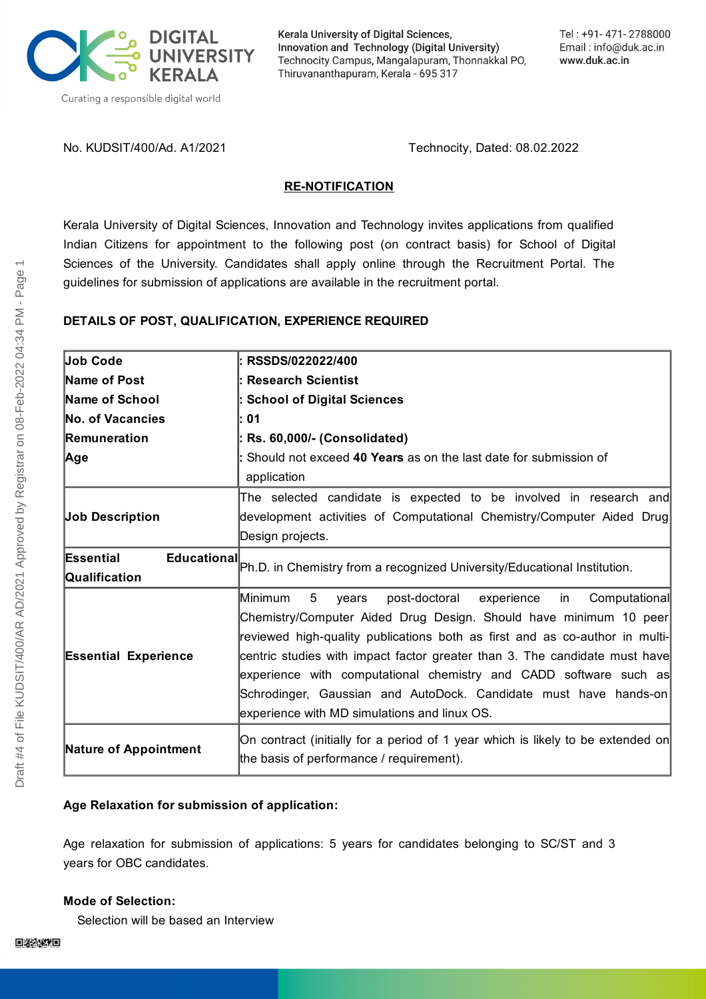

Kerala University of Digital Sciences, Innovation and Technology (Digital University) Technocity Campus, Mangalapuram, Thonnakkal PO, Thiruvananthapuram, Kerala - 695 317

No. KUDSIT/400/Ad. A1/2021 Technocity, Dated: 08.02.2022

## **RE-NOTIFICATION**

Kerala University of Digital Sciences, Innovation and Technology invites applications from qualified Indian Citizens for appointment to the following post (on contract basis) for School of Digital Sciences of the University. Candidates shall apply online through the Recruitment Portal. The guidelines for submission of applications are available in the recruitment portal.

## **DETAILS OF POST, QUALIFICATION, EXPERIENCE REQUIRED**

| <b>Job Code</b>                 | : RSSDS/022022/400                                                              |
|---------------------------------|---------------------------------------------------------------------------------|
| <b>Name of Post</b>             | : Research Scientist                                                            |
| <b>Name of School</b>           | : School of Digital Sciences                                                    |
| <b>No. of Vacancies</b>         | l: 01                                                                           |
| Remuneration                    | : Rs. 60,000/- (Consolidated)                                                   |
| Age                             | : Should not exceed 40 Years as on the last date for submission of              |
|                                 | application                                                                     |
|                                 | The selected candidate is expected to be involved in research and               |
| <b>Job Description</b>          | development activities of Computational Chemistry/Computer Aided Drug           |
|                                 | Design projects.                                                                |
| <b>Educational</b><br>Essential |                                                                                 |
| Qualification                   | Ph.D. in Chemistry from a recognized University/Educational Institution.        |
|                                 | Minimum<br>5<br>post-doctoral<br>experience<br>Computational<br>in<br>years     |
|                                 | Chemistry/Computer Aided Drug Design. Should have minimum 10 peer               |
|                                 | reviewed high-quality publications both as first and as co-author in multi-     |
| <b>Essential Experience</b>     | centric studies with impact factor greater than 3. The candidate must have      |
|                                 | experience with computational chemistry and CADD software such as               |
|                                 | Schrodinger, Gaussian and AutoDock. Candidate must have hands-on                |
|                                 | experience with MD simulations and linux OS.                                    |
| <b>Nature of Appointment</b>    | On contract (initially for a period of 1 year which is likely to be extended on |
|                                 | the basis of performance / requirement).                                        |
|                                 |                                                                                 |

# **Age Relaxation for submission of application:**

Age relaxation for submission of applications: 5 years for candidates belonging to SC/ST and 3 years for OBC candidates.

#### **Mode of Selection:**

Selection will be based an Interview